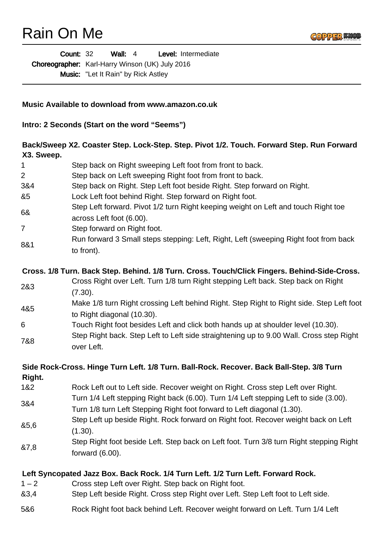## Rain On Me



| <b>Count: 32</b> |                                                        | Wall: $4$                                  |  | Level: Intermediate |  |
|------------------|--------------------------------------------------------|--------------------------------------------|--|---------------------|--|
|                  | <b>Choreographer:</b> Karl-Harry Winson (UK) July 2016 |                                            |  |                     |  |
|                  |                                                        | <b>Music:</b> "Let It Rain" by Rick Astley |  |                     |  |

## **Music Available to download from www.amazon.co.uk**

**Intro: 2 Seconds (Start on the word "Seems")**

## **Back/Sweep X2. Coaster Step. Lock-Step. Step. Pivot 1/2. Touch. Forward Step. Run Forward X3. Sweep.**

| 1       | Step back on Right sweeping Left foot from front to back.                                                                                                        |
|---------|------------------------------------------------------------------------------------------------------------------------------------------------------------------|
| 2       | Step back on Left sweeping Right foot from front to back.                                                                                                        |
| 3&4     | Step back on Right. Step Left foot beside Right. Step forward on Right.                                                                                          |
| &5      | Lock Left foot behind Right. Step forward on Right foot.                                                                                                         |
| 6&      | Step Left forward. Pivot 1/2 turn Right keeping weight on Left and touch Right toe<br>across Left foot (6.00).                                                   |
| 7       | Step forward on Right foot.                                                                                                                                      |
| 8&1     | Run forward 3 Small steps stepping: Left, Right, Left (sweeping Right foot from back<br>to front).                                                               |
|         | Cross. 1/8 Turn. Back Step. Behind. 1/8 Turn. Cross. Touch/Click Fingers. Behind-Side-Cross.                                                                     |
| 2&3     | Cross Right over Left. Turn 1/8 turn Right stepping Left back. Step back on Right<br>(7.30).                                                                     |
| 4&5     | Make 1/8 turn Right crossing Left behind Right. Step Right to Right side. Step Left foot<br>to Right diagonal (10.30).                                           |
| 6       | Touch Right foot besides Left and click both hands up at shoulder level (10.30).                                                                                 |
| 7&8     | Step Right back. Step Left to Left side straightening up to 9.00 Wall. Cross step Right<br>over Left.                                                            |
| Right.  | Side Rock-Cross. Hinge Turn Left. 1/8 Turn. Ball-Rock. Recover. Back Ball-Step. 3/8 Turn                                                                         |
| 1&2     | Rock Left out to Left side. Recover weight on Right. Cross step Left over Right.                                                                                 |
| 3&4     | Turn 1/4 Left stepping Right back (6.00). Turn 1/4 Left stepping Left to side (3.00).<br>Turn 1/8 turn Left Stepping Right foot forward to Left diagonal (1.30). |
| 85,6    | Step Left up beside Right. Rock forward on Right foot. Recover weight back on Left<br>(1.30).                                                                    |
| &7,8    | Step Right foot beside Left. Step back on Left foot. Turn 3/8 turn Right stepping Right<br>forward $(6.00)$ .                                                    |
|         | Left Syncopated Jazz Box. Back Rock. 1/4 Turn Left. 1/2 Turn Left. Forward Rock.                                                                                 |
| $1 - 2$ | Cross step Left over Right. Step back on Right foot.                                                                                                             |
| 83,4    | Step Left beside Right. Cross step Right over Left. Step Left foot to Left side.                                                                                 |
| 5&6     | Rock Right foot back behind Left. Recover weight forward on Left. Turn 1/4 Left                                                                                  |